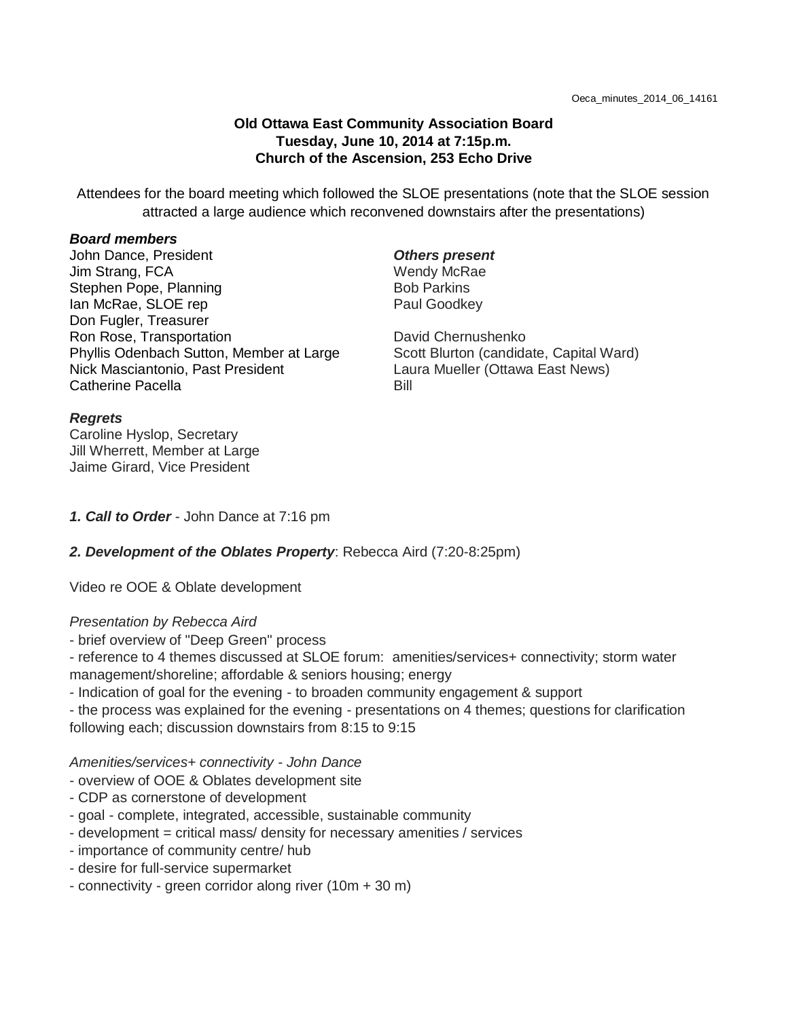### **Old Ottawa East Community Association Board Tuesday, June 10, 2014 at 7:15p.m. Church of the Ascension, 253 Echo Drive**

Attendees for the board meeting which followed the SLOE presentations (note that the SLOE session attracted a large audience which reconvened downstairs after the presentations)

#### *Board members*

John Dance, President Jim Strang, FCA Stephen Pope, Planning Ian McRae, SLOE rep Don Fugler, Treasurer Ron Rose, Transportation Phyllis Odenbach Sutton, Member at Large Nick Masciantonio, Past President Catherine Pacella

### *Others present*

Wendy McRae Bob Parkins Paul Goodkey

David Chernushenko Scott Blurton (candidate, Capital Ward) Laura Mueller (Ottawa East News) Bill

#### *Regrets*

Caroline Hyslop, Secretary Jill Wherrett, Member at Large Jaime Girard, Vice President

*1. Call to Order* - John Dance at 7:16 pm

### *2. Development of the Oblates Property*: Rebecca Aird (7:20-8:25pm)

Video re OOE & Oblate development

### *Presentation by Rebecca Aird*

- brief overview of "Deep Green" process

- reference to 4 themes discussed at SLOE forum: amenities/services+ connectivity; storm water management/shoreline; affordable & seniors housing; energy

- Indication of goal for the evening - to broaden community engagement & support

- the process was explained for the evening - presentations on 4 themes; questions for clarification following each; discussion downstairs from 8:15 to 9:15

#### *Amenities/services+ connectivity - John Dance*

- overview of OOE & Oblates development site

- CDP as cornerstone of development
- goal complete, integrated, accessible, sustainable community
- development = critical mass/ density for necessary amenities / services
- importance of community centre/ hub
- desire for full-service supermarket
- connectivity green corridor along river (10m + 30 m)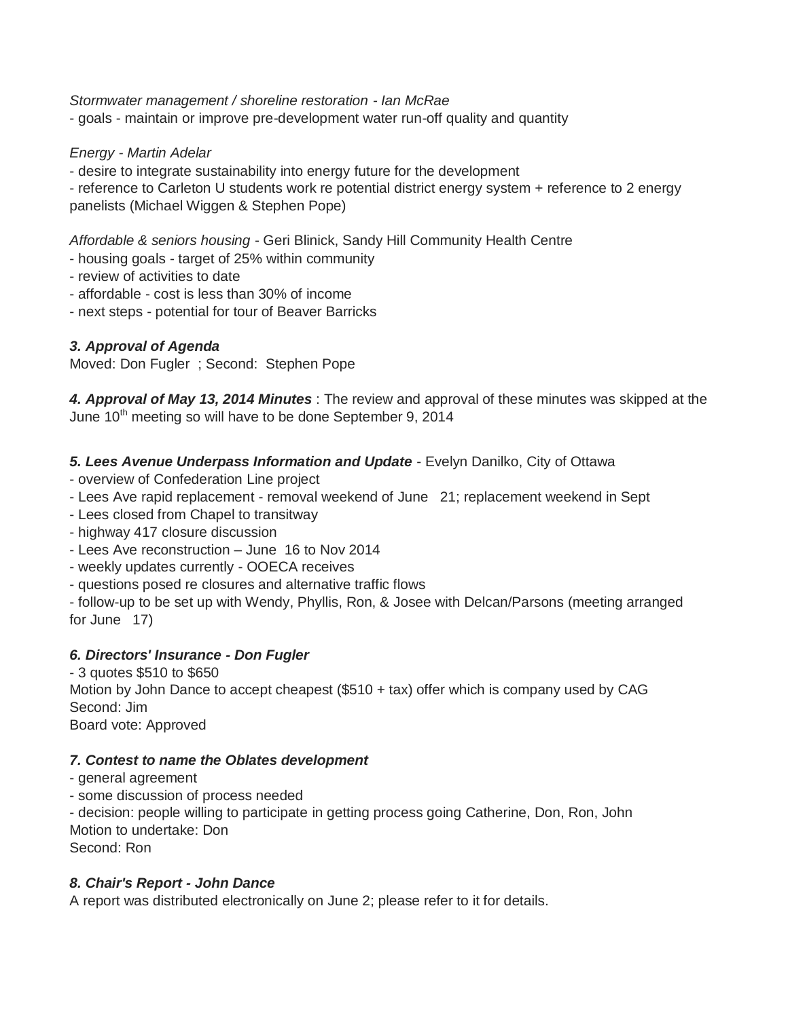*Stormwater management / shoreline restoration - Ian McRae*

- goals - maintain or improve pre-development water run-off quality and quantity

*Energy - Martin Adelar*

- desire to integrate sustainability into energy future for the development

- reference to Carleton U students work re potential district energy system + reference to 2 energy panelists (Michael Wiggen & Stephen Pope)

*Affordable & seniors housing* - Geri Blinick, Sandy Hill Community Health Centre

- housing goals - target of 25% within community

- review of activities to date

- affordable - cost is less than 30% of income

- next steps - potential for tour of Beaver Barricks

# *3. Approval of Agenda*

Moved: Don Fugler ; Second: Stephen Pope

*4. Approval of May 13, 2014 Minutes* : The review and approval of these minutes was skipped at the June 10<sup>th</sup> meeting so will have to be done September 9, 2014

# *5. Lees Avenue Underpass Information and Update* - Evelyn Danilko, City of Ottawa

- overview of Confederation Line project
- Lees Ave rapid replacement removal weekend of June 21; replacement weekend in Sept
- Lees closed from Chapel to transitway
- highway 417 closure discussion
- Lees Ave reconstruction June 16 to Nov 2014
- weekly updates currently OOECA receives
- questions posed re closures and alternative traffic flows

- follow-up to be set up with Wendy, Phyllis, Ron, & Josee with Delcan/Parsons (meeting arranged for June 17)

# *6. Directors' Insurance - Don Fugler*

- 3 quotes \$510 to \$650 Motion by John Dance to accept cheapest (\$510 + tax) offer which is company used by CAG Second: Jim Board vote: Approved

### *7. Contest to name the Oblates development*

- general agreement
- some discussion of process needed

- decision: people willing to participate in getting process going Catherine, Don, Ron, John Motion to undertake: Don Second: Ron

### *8. Chair's Report - John Dance*

A report was distributed electronically on June 2; please refer to it for details.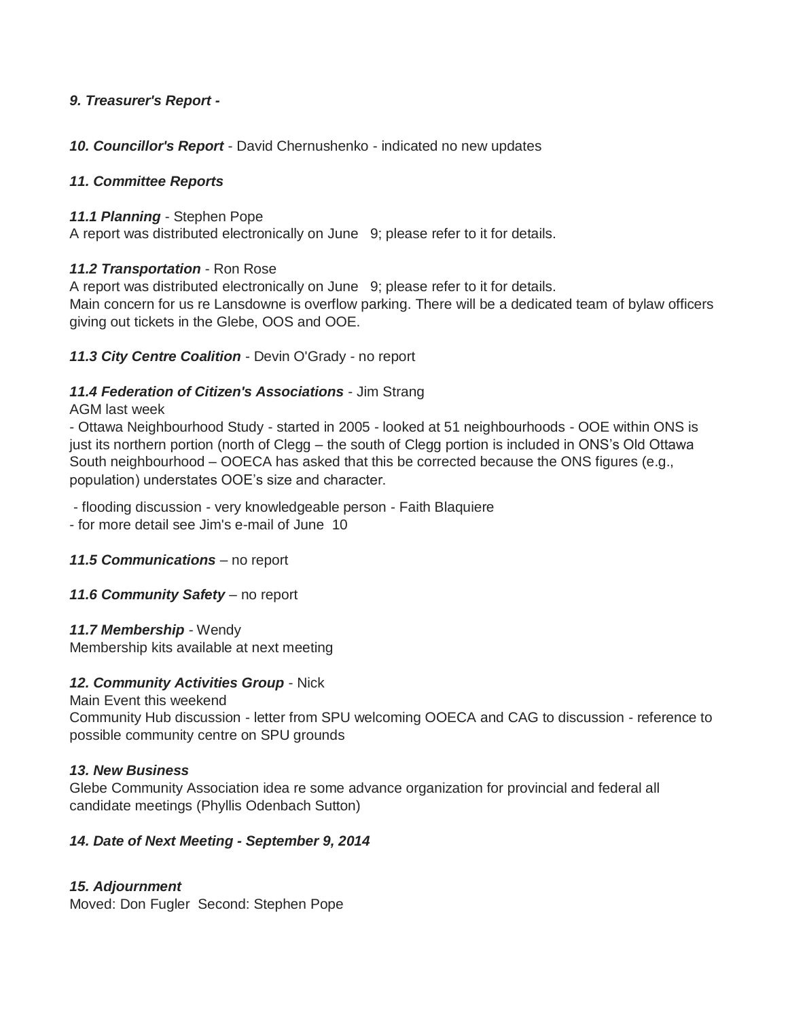### *9. Treasurer's Report -*

*10. Councillor's Report* - David Chernushenko - indicated no new updates

### *11. Committee Reports*

### *11.1 Planning* - Stephen Pope

A report was distributed electronically on June 9; please refer to it for details.

### *11.2 Transportation* - Ron Rose

A report was distributed electronically on June 9; please refer to it for details.

Main concern for us re Lansdowne is overflow parking. There will be a dedicated team of bylaw officers giving out tickets in the Glebe, OOS and OOE.

# *11.3 City Centre Coalition* - Devin O'Grady - no report

### *11.4 Federation of Citizen's Associations* - Jim Strang

### AGM last week

- Ottawa Neighbourhood Study - started in 2005 - looked at 51 neighbourhoods - OOE within ONS is just its northern portion (north of Clegg – the south of Clegg portion is included in ONS's Old Ottawa South neighbourhood – OOECA has asked that this be corrected because the ONS figures (e.g., population) understates OOE's size and character.

- flooding discussion - very knowledgeable person - Faith Blaquiere

- for more detail see Jim's e-mail of June 10

*11.5 Communications* – no report

*11.6 Community Safety* – no report

# *11.7 Membership* - Wendy

Membership kits available at next meeting

# *12. Community Activities Group* - Nick

Main Event this weekend

Community Hub discussion - letter from SPU welcoming OOECA and CAG to discussion - reference to possible community centre on SPU grounds

# *13. New Business*

Glebe Community Association idea re some advance organization for provincial and federal all candidate meetings (Phyllis Odenbach Sutton)

# *14. Date of Next Meeting - September 9, 2014*

# *15. Adjournment*

Moved: Don Fugler Second: Stephen Pope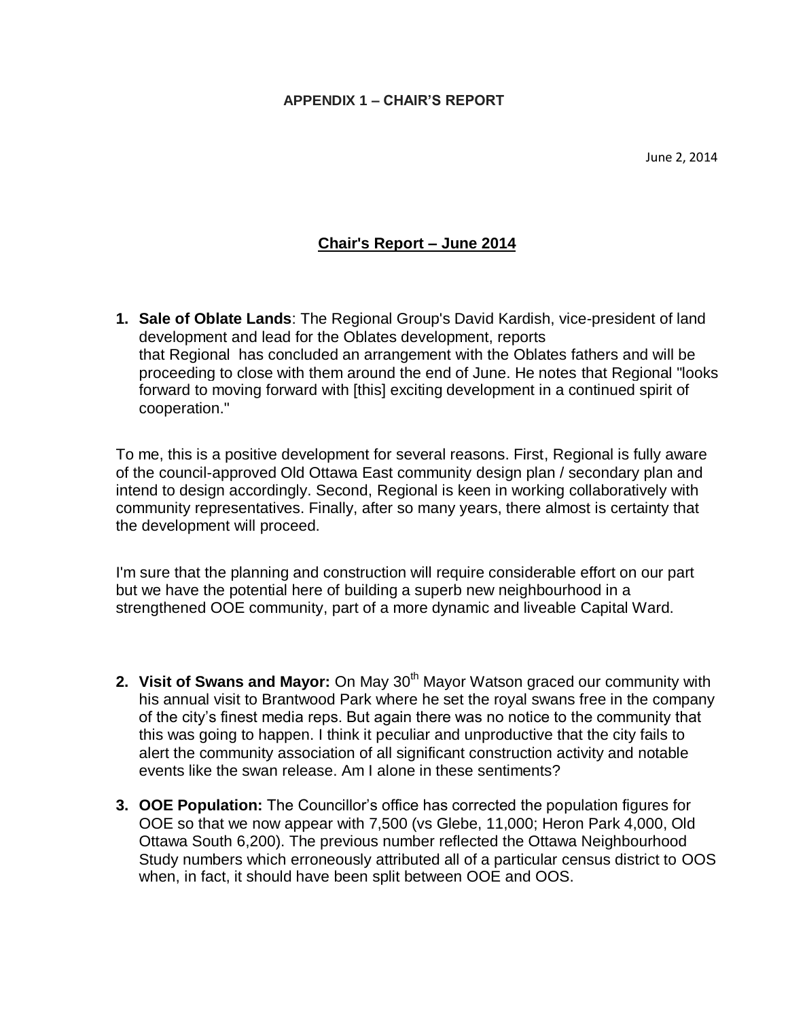# **Chair's Report – June 2014**

**1. Sale of Oblate Lands**: The Regional Group's David Kardish, vice-president of land development and lead for the Oblates development, reports that Regional has concluded an arrangement with the Oblates fathers and will be proceeding to close with them around the end of June. He notes that Regional "looks forward to moving forward with [this] exciting development in a continued spirit of cooperation."

To me, this is a positive development for several reasons. First, Regional is fully aware of the council-approved Old Ottawa East community design plan / secondary plan and intend to design accordingly. Second, Regional is keen in working collaboratively with community representatives. Finally, after so many years, there almost is certainty that the development will proceed.

I'm sure that the planning and construction will require considerable effort on our part but we have the potential here of building a superb new neighbourhood in a strengthened OOE community, part of a more dynamic and liveable Capital Ward.

- **2. Visit of Swans and Mayor:** On May 30<sup>th</sup> Mayor Watson graced our community with his annual visit to Brantwood Park where he set the royal swans free in the company of the city's finest media reps. But again there was no notice to the community that this was going to happen. I think it peculiar and unproductive that the city fails to alert the community association of all significant construction activity and notable events like the swan release. Am I alone in these sentiments?
- **3. OOE Population:** The Councillor's office has corrected the population figures for OOE so that we now appear with 7,500 (vs Glebe, 11,000; Heron Park 4,000, Old Ottawa South 6,200). The previous number reflected the Ottawa Neighbourhood Study numbers which erroneously attributed all of a particular census district to OOS when, in fact, it should have been split between OOE and OOS.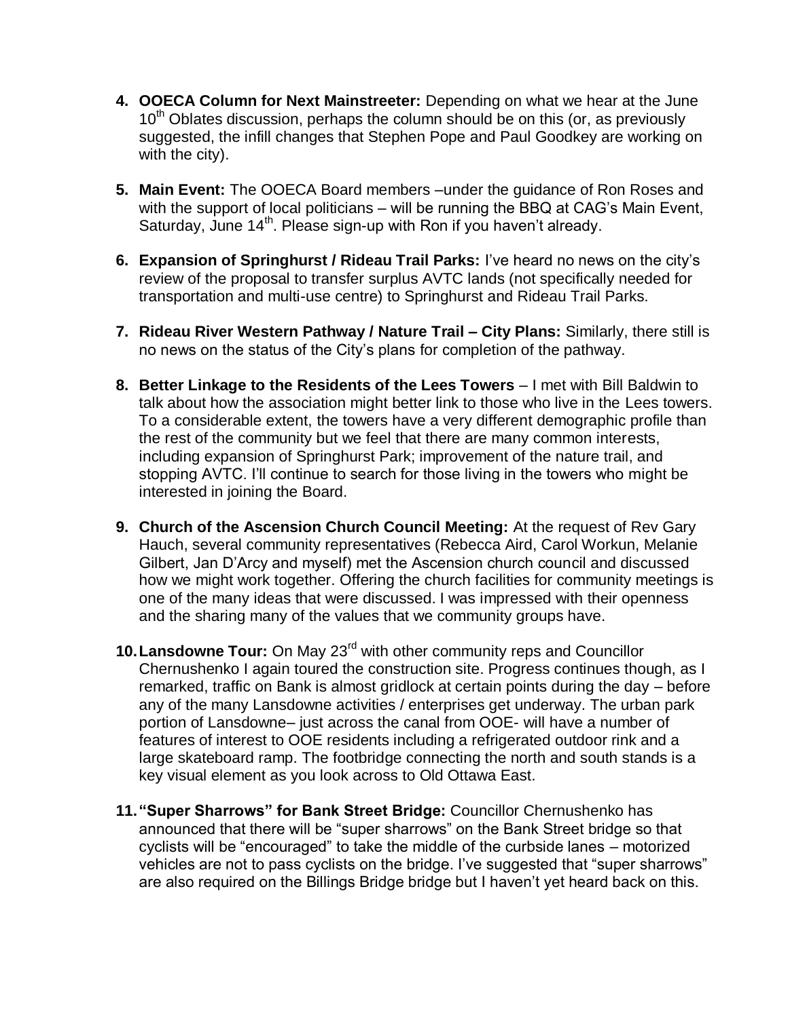- **4. OOECA Column for Next Mainstreeter:** Depending on what we hear at the June 10<sup>th</sup> Oblates discussion, perhaps the column should be on this (or, as previously suggested, the infill changes that Stephen Pope and Paul Goodkey are working on with the city).
- **5. Main Event:** The OOECA Board members –under the guidance of Ron Roses and with the support of local politicians – will be running the BBQ at CAG's Main Event, Saturday, June  $14<sup>th</sup>$ . Please sign-up with Ron if you haven't already.
- **6. Expansion of Springhurst / Rideau Trail Parks:** I've heard no news on the city's review of the proposal to transfer surplus AVTC lands (not specifically needed for transportation and multi-use centre) to Springhurst and Rideau Trail Parks.
- **7. Rideau River Western Pathway / Nature Trail – City Plans:** Similarly, there still is no news on the status of the City's plans for completion of the pathway.
- **8. Better Linkage to the Residents of the Lees Towers I met with Bill Baldwin to** talk about how the association might better link to those who live in the Lees towers. To a considerable extent, the towers have a very different demographic profile than the rest of the community but we feel that there are many common interests, including expansion of Springhurst Park; improvement of the nature trail, and stopping AVTC. I'll continue to search for those living in the towers who might be interested in joining the Board.
- **9. Church of the Ascension Church Council Meeting:** At the request of Rev Gary Hauch, several community representatives (Rebecca Aird, Carol Workun, Melanie Gilbert, Jan D'Arcy and myself) met the Ascension church council and discussed how we might work together. Offering the church facilities for community meetings is one of the many ideas that were discussed. I was impressed with their openness and the sharing many of the values that we community groups have.
- **10.Lansdowne Tour:** On May 23rd with other community reps and Councillor Chernushenko I again toured the construction site. Progress continues though, as I remarked, traffic on Bank is almost gridlock at certain points during the day – before any of the many Lansdowne activities / enterprises get underway. The urban park portion of Lansdowne– just across the canal from OOE- will have a number of features of interest to OOE residents including a refrigerated outdoor rink and a large skateboard ramp. The footbridge connecting the north and south stands is a key visual element as you look across to Old Ottawa East.
- **11."Super Sharrows" for Bank Street Bridge:** Councillor Chernushenko has announced that there will be "super sharrows" on the Bank Street bridge so that cyclists will be "encouraged" to take the middle of the curbside lanes – motorized vehicles are not to pass cyclists on the bridge. I've suggested that "super sharrows" are also required on the Billings Bridge bridge but I haven't yet heard back on this.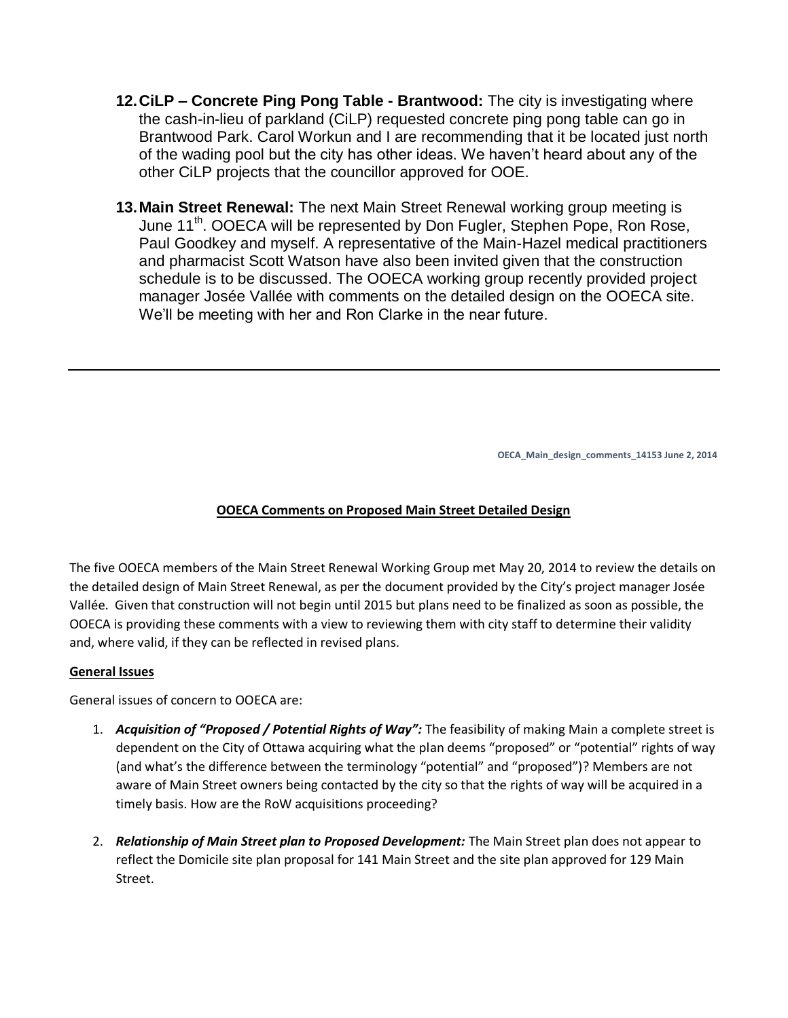- **12.CiLP – Concrete Ping Pong Table - Brantwood:** The city is investigating where the cash-in-lieu of parkland (CiLP) requested concrete ping pong table can go in Brantwood Park. Carol Workun and I are recommending that it be located just north of the wading pool but the city has other ideas. We haven't heard about any of the other CiLP projects that the councillor approved for OOE.
- **13.Main Street Renewal:** The next Main Street Renewal working group meeting is June 11<sup>th</sup>. OOECA will be represented by Don Fugler, Stephen Pope, Ron Rose, Paul Goodkey and myself. A representative of the Main-Hazel medical practitioners and pharmacist Scott Watson have also been invited given that the construction schedule is to be discussed. The OOECA working group recently provided project manager Josée Vallée with comments on the detailed design on the OOECA site. We'll be meeting with her and Ron Clarke in the near future.

**OECA\_Main\_design\_comments\_14153 June 2, 2014**

#### **OOECA Comments on Proposed Main Street Detailed Design**

The five OOECA members of the Main Street Renewal Working Group met May 20, 2014 to review the details on the detailed design of Main Street Renewal, as per the document provided by the City's project manager Josée Vallée. Given that construction will not begin until 2015 but plans need to be finalized as soon as possible, the OOECA is providing these comments with a view to reviewing them with city staff to determine their validity and, where valid, if they can be reflected in revised plans.

#### **General Issues**

General issues of concern to OOECA are:

- 1. *Acquisition of "Proposed / Potential Rights of Way":* The feasibility of making Main a complete street is dependent on the City of Ottawa acquiring what the plan deems "proposed" or "potential" rights of way (and what's the difference between the terminology "potential" and "proposed")? Members are not aware of Main Street owners being contacted by the city so that the rights of way will be acquired in a timely basis. How are the RoW acquisitions proceeding?
- 2. *Relationship of Main Street plan to Proposed Development:* The Main Street plan does not appear to reflect the Domicile site plan proposal for 141 Main Street and the site plan approved for 129 Main Street.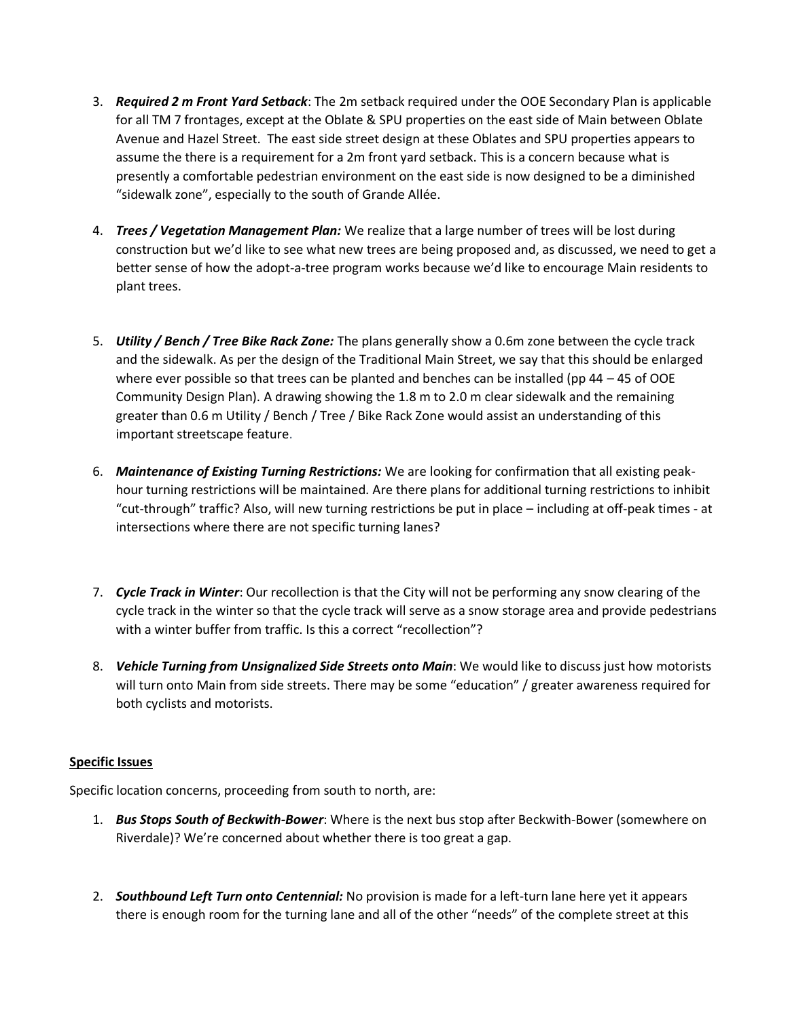- 3. *Required 2 m Front Yard Setback*: The 2m setback required under the OOE Secondary Plan is applicable for all TM 7 frontages, except at the Oblate & SPU properties on the east side of Main between Oblate Avenue and Hazel Street. The east side street design at these Oblates and SPU properties appears to assume the there is a requirement for a 2m front yard setback. This is a concern because what is presently a comfortable pedestrian environment on the east side is now designed to be a diminished "sidewalk zone", especially to the south of Grande Allée.
- 4. *Trees / Vegetation Management Plan:* We realize that a large number of trees will be lost during construction but we'd like to see what new trees are being proposed and, as discussed, we need to get a better sense of how the adopt-a-tree program works because we'd like to encourage Main residents to plant trees.
- 5. *Utility / Bench / Tree Bike Rack Zone:* The plans generally show a 0.6m zone between the cycle track and the sidewalk. As per the design of the Traditional Main Street, we say that this should be enlarged where ever possible so that trees can be planted and benches can be installed (pp 44 – 45 of OOE Community Design Plan). A drawing showing the 1.8 m to 2.0 m clear sidewalk and the remaining greater than 0.6 m Utility / Bench / Tree / Bike Rack Zone would assist an understanding of this important streetscape feature.
- 6. *Maintenance of Existing Turning Restrictions:* We are looking for confirmation that all existing peakhour turning restrictions will be maintained. Are there plans for additional turning restrictions to inhibit "cut-through" traffic? Also, will new turning restrictions be put in place – including at off-peak times - at intersections where there are not specific turning lanes?
- 7. *Cycle Track in Winter*: Our recollection is that the City will not be performing any snow clearing of the cycle track in the winter so that the cycle track will serve as a snow storage area and provide pedestrians with a winter buffer from traffic. Is this a correct "recollection"?
- 8. *Vehicle Turning from Unsignalized Side Streets onto Main*: We would like to discuss just how motorists will turn onto Main from side streets. There may be some "education" / greater awareness required for both cyclists and motorists.

#### **Specific Issues**

Specific location concerns, proceeding from south to north, are:

- 1. *Bus Stops South of Beckwith-Bower*: Where is the next bus stop after Beckwith-Bower (somewhere on Riverdale)? We're concerned about whether there is too great a gap.
- 2. *Southbound Left Turn onto Centennial:* No provision is made for a left-turn lane here yet it appears there is enough room for the turning lane and all of the other "needs" of the complete street at this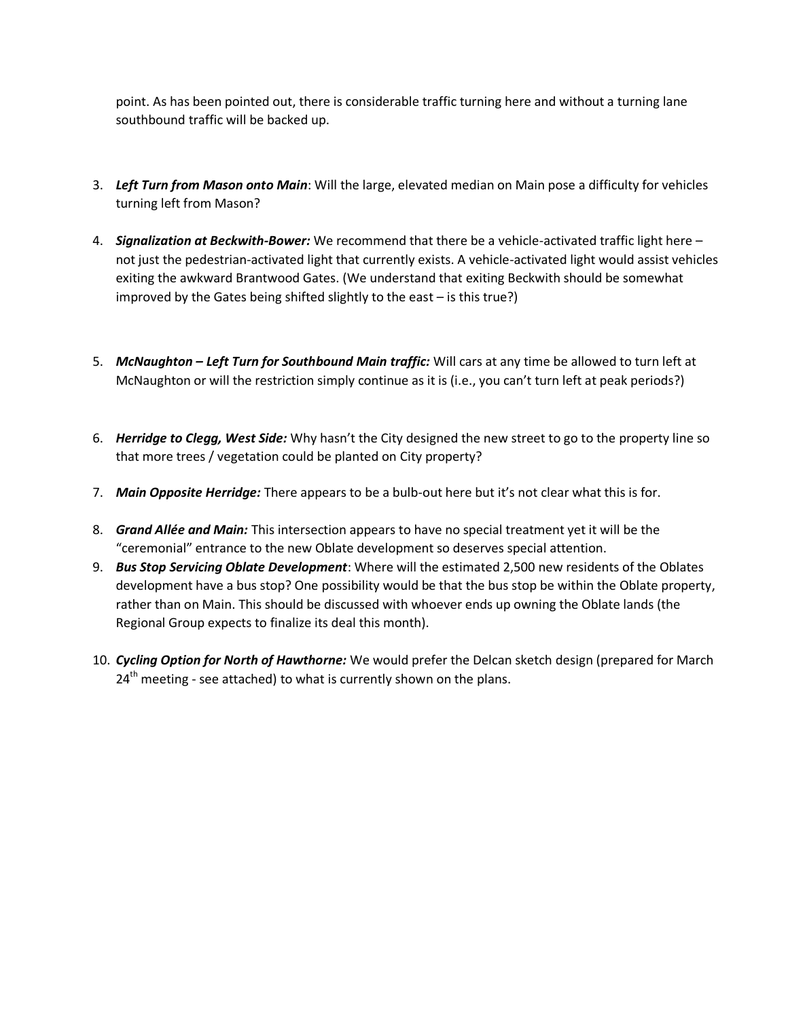point. As has been pointed out, there is considerable traffic turning here and without a turning lane southbound traffic will be backed up.

- 3. *Left Turn from Mason onto Main*: Will the large, elevated median on Main pose a difficulty for vehicles turning left from Mason?
- 4. *Signalization at Beckwith-Bower:* We recommend that there be a vehicle-activated traffic light here not just the pedestrian-activated light that currently exists. A vehicle-activated light would assist vehicles exiting the awkward Brantwood Gates. (We understand that exiting Beckwith should be somewhat improved by the Gates being shifted slightly to the east – is this true?)
- 5. *McNaughton – Left Turn for Southbound Main traffic:* Will cars at any time be allowed to turn left at McNaughton or will the restriction simply continue as it is (i.e., you can't turn left at peak periods?)
- 6. *Herridge to Clegg, West Side:* Why hasn't the City designed the new street to go to the property line so that more trees / vegetation could be planted on City property?
- 7. *Main Opposite Herridge:* There appears to be a bulb-out here but it's not clear what this is for.
- 8. *Grand Allée and Main:* This intersection appears to have no special treatment yet it will be the "ceremonial" entrance to the new Oblate development so deserves special attention.
- 9. *Bus Stop Servicing Oblate Development*: Where will the estimated 2,500 new residents of the Oblates development have a bus stop? One possibility would be that the bus stop be within the Oblate property, rather than on Main. This should be discussed with whoever ends up owning the Oblate lands (the Regional Group expects to finalize its deal this month).
- 10. *Cycling Option for North of Hawthorne:* We would prefer the Delcan sketch design (prepared for March  $24<sup>th</sup>$  meeting - see attached) to what is currently shown on the plans.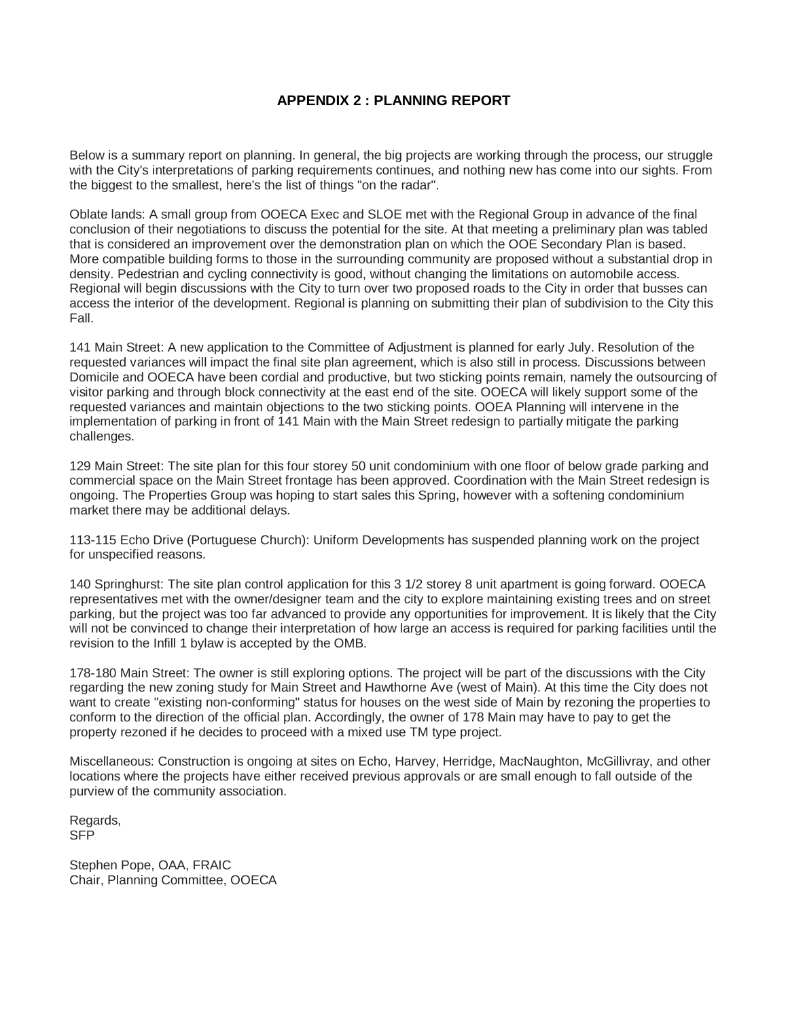#### **APPENDIX 2 : PLANNING REPORT**

Below is a summary report on planning. In general, the big projects are working through the process, our struggle with the City's interpretations of parking requirements continues, and nothing new has come into our sights. From the biggest to the smallest, here's the list of things "on the radar".

Oblate lands: A small group from OOECA Exec and SLOE met with the Regional Group in advance of the final conclusion of their negotiations to discuss the potential for the site. At that meeting a preliminary plan was tabled that is considered an improvement over the demonstration plan on which the OOE Secondary Plan is based. More compatible building forms to those in the surrounding community are proposed without a substantial drop in density. Pedestrian and cycling connectivity is good, without changing the limitations on automobile access. Regional will begin discussions with the City to turn over two proposed roads to the City in order that busses can access the interior of the development. Regional is planning on submitting their plan of subdivision to the City this Fall.

141 Main Street: A new application to the Committee of Adjustment is planned for early July. Resolution of the requested variances will impact the final site plan agreement, which is also still in process. Discussions between Domicile and OOECA have been cordial and productive, but two sticking points remain, namely the outsourcing of visitor parking and through block connectivity at the east end of the site. OOECA will likely support some of the requested variances and maintain objections to the two sticking points. OOEA Planning will intervene in the implementation of parking in front of 141 Main with the Main Street redesign to partially mitigate the parking challenges.

129 Main Street: The site plan for this four storey 50 unit condominium with one floor of below grade parking and commercial space on the Main Street frontage has been approved. Coordination with the Main Street redesign is ongoing. The Properties Group was hoping to start sales this Spring, however with a softening condominium market there may be additional delays.

113-115 Echo Drive (Portuguese Church): Uniform Developments has suspended planning work on the project for unspecified reasons.

140 Springhurst: The site plan control application for this 3 1/2 storey 8 unit apartment is going forward. OOECA representatives met with the owner/designer team and the city to explore maintaining existing trees and on street parking, but the project was too far advanced to provide any opportunities for improvement. It is likely that the City will not be convinced to change their interpretation of how large an access is required for parking facilities until the revision to the Infill 1 bylaw is accepted by the OMB.

178-180 Main Street: The owner is still exploring options. The project will be part of the discussions with the City regarding the new zoning study for Main Street and Hawthorne Ave (west of Main). At this time the City does not want to create "existing non-conforming" status for houses on the west side of Main by rezoning the properties to conform to the direction of the official plan. Accordingly, the owner of 178 Main may have to pay to get the property rezoned if he decides to proceed with a mixed use TM type project.

Miscellaneous: Construction is ongoing at sites on Echo, Harvey, Herridge, MacNaughton, McGillivray, and other locations where the projects have either received previous approvals or are small enough to fall outside of the purview of the community association.

Regards, SFP

Stephen Pope, OAA, FRAIC Chair, Planning Committee, OOECA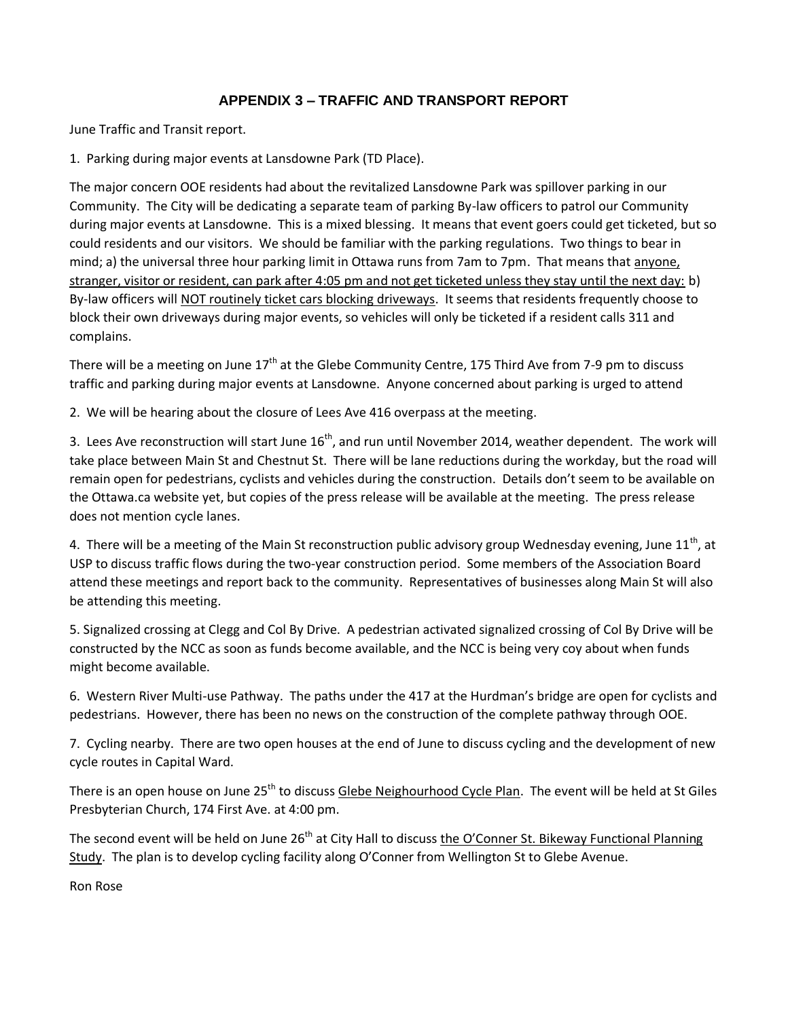# **APPENDIX 3 – TRAFFIC AND TRANSPORT REPORT**

June Traffic and Transit report.

1. Parking during major events at Lansdowne Park (TD Place).

The major concern OOE residents had about the revitalized Lansdowne Park was spillover parking in our Community. The City will be dedicating a separate team of parking By-law officers to patrol our Community during major events at Lansdowne. This is a mixed blessing. It means that event goers could get ticketed, but so could residents and our visitors. We should be familiar with the parking regulations. Two things to bear in mind; a) the universal three hour parking limit in Ottawa runs from 7am to 7pm. That means that anyone, stranger, visitor or resident, can park after 4:05 pm and not get ticketed unless they stay until the next day: b) By-law officers will NOT routinely ticket cars blocking driveways. It seems that residents frequently choose to block their own driveways during major events, so vehicles will only be ticketed if a resident calls 311 and complains.

There will be a meeting on June 17<sup>th</sup> at the Glebe Community Centre, 175 Third Ave from 7-9 pm to discuss traffic and parking during major events at Lansdowne. Anyone concerned about parking is urged to attend

2. We will be hearing about the closure of Lees Ave 416 overpass at the meeting.

3. Lees Ave reconstruction will start June 16<sup>th</sup>, and run until November 2014, weather dependent. The work will take place between Main St and Chestnut St. There will be lane reductions during the workday, but the road will remain open for pedestrians, cyclists and vehicles during the construction. Details don't seem to be available on the Ottawa.ca website yet, but copies of the press release will be available at the meeting. The press release does not mention cycle lanes.

4. There will be a meeting of the Main St reconstruction public advisory group Wednesday evening, June  $11^{th}$ , at USP to discuss traffic flows during the two-year construction period. Some members of the Association Board attend these meetings and report back to the community. Representatives of businesses along Main St will also be attending this meeting.

5. Signalized crossing at Clegg and Col By Drive. A pedestrian activated signalized crossing of Col By Drive will be constructed by the NCC as soon as funds become available, and the NCC is being very coy about when funds might become available.

6. Western River Multi-use Pathway. The paths under the 417 at the Hurdman's bridge are open for cyclists and pedestrians. However, there has been no news on the construction of the complete pathway through OOE.

7. Cycling nearby. There are two open houses at the end of June to discuss cycling and the development of new cycle routes in Capital Ward.

There is an open house on June 25<sup>th</sup> to discuss Glebe Neighourhood Cycle Plan. The event will be held at St Giles Presbyterian Church, 174 First Ave. at 4:00 pm.

The second event will be held on June  $26<sup>th</sup>$  at City Hall to discuss the O'Conner St. Bikeway Functional Planning Study. The plan is to develop cycling facility along O'Conner from Wellington St to Glebe Avenue.

Ron Rose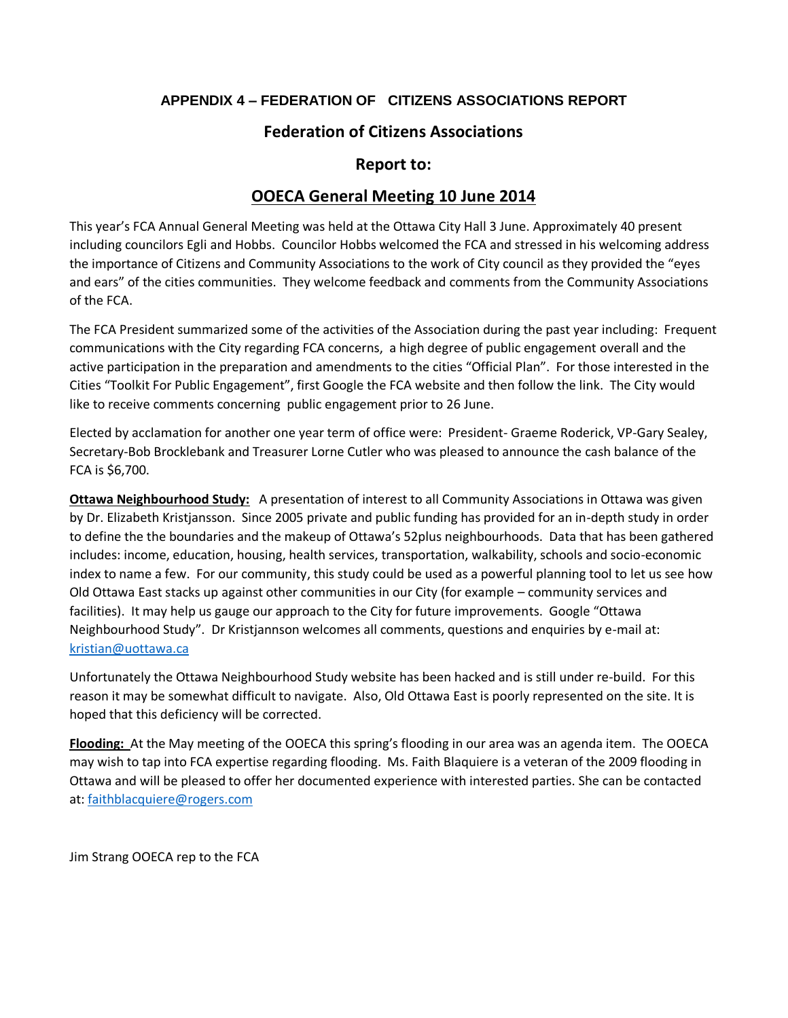# **APPENDIX 4 – FEDERATION OF CITIZENS ASSOCIATIONS REPORT**

# **Federation of Citizens Associations**

# **Report to:**

# **OOECA General Meeting 10 June 2014**

This year's FCA Annual General Meeting was held at the Ottawa City Hall 3 June. Approximately 40 present including councilors Egli and Hobbs. Councilor Hobbs welcomed the FCA and stressed in his welcoming address the importance of Citizens and Community Associations to the work of City council as they provided the "eyes and ears" of the cities communities. They welcome feedback and comments from the Community Associations of the FCA.

The FCA President summarized some of the activities of the Association during the past year including: Frequent communications with the City regarding FCA concerns, a high degree of public engagement overall and the active participation in the preparation and amendments to the cities "Official Plan". For those interested in the Cities "Toolkit For Public Engagement", first Google the FCA website and then follow the link. The City would like to receive comments concerning public engagement prior to 26 June.

Elected by acclamation for another one year term of office were: President- Graeme Roderick, VP-Gary Sealey, Secretary-Bob Brocklebank and Treasurer Lorne Cutler who was pleased to announce the cash balance of the FCA is \$6,700.

**Ottawa Neighbourhood Study:** A presentation of interest to all Community Associations in Ottawa was given by Dr. Elizabeth Kristjansson. Since 2005 private and public funding has provided for an in-depth study in order to define the the boundaries and the makeup of Ottawa's 52plus neighbourhoods. Data that has been gathered includes: income, education, housing, health services, transportation, walkability, schools and socio-economic index to name a few. For our community, this study could be used as a powerful planning tool to let us see how Old Ottawa East stacks up against other communities in our City (for example – community services and facilities). It may help us gauge our approach to the City for future improvements. Google "Ottawa Neighbourhood Study". Dr Kristjannson welcomes all comments, questions and enquiries by e-mail at: [kristian@uottawa.ca](mailto:kristian@uottawa.ca)

Unfortunately the Ottawa Neighbourhood Study website has been hacked and is still under re-build. For this reason it may be somewhat difficult to navigate. Also, Old Ottawa East is poorly represented on the site. It is hoped that this deficiency will be corrected.

**Flooding:** At the May meeting of the OOECA this spring's flooding in our area was an agenda item. The OOECA may wish to tap into FCA expertise regarding flooding. Ms. Faith Blaquiere is a veteran of the 2009 flooding in Ottawa and will be pleased to offer her documented experience with interested parties. She can be contacted at: [faithblacquiere@rogers.com](mailto:faithblacquiere@rogers.com)

Jim Strang OOECA rep to the FCA